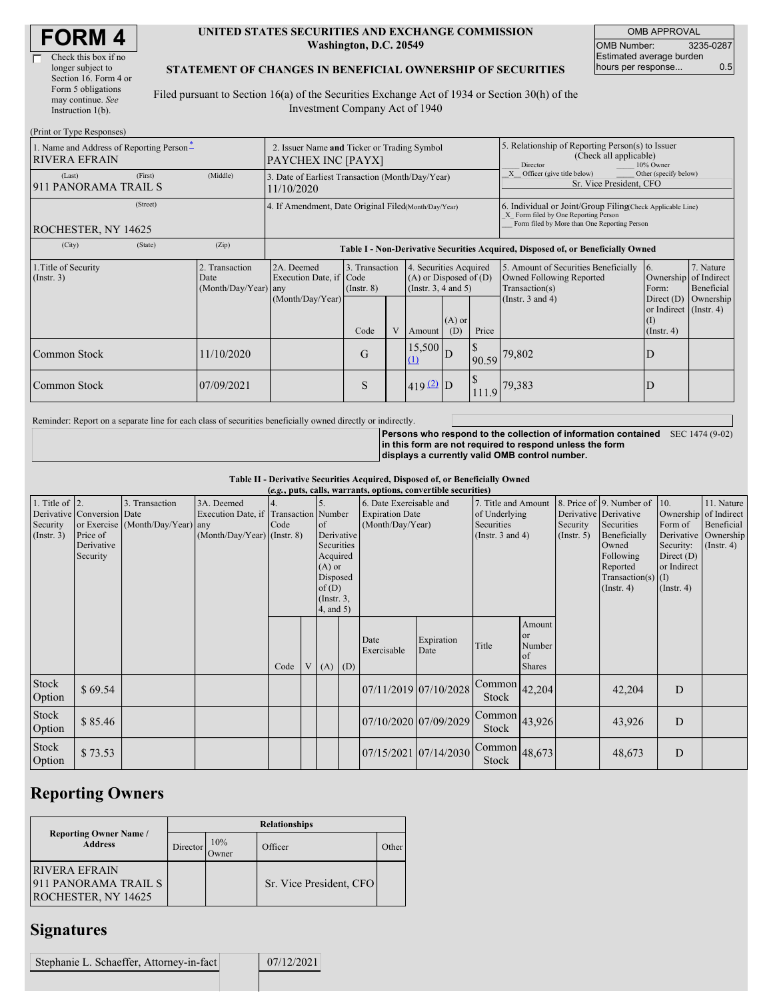#### **UNITED STATES SECURITIES AND EXCHANGE COMMISSION Washington, D.C. 20549**

OMB APPROVAL OMB Number: 3235-0287 Estimated average burden hours per response... 0.5

#### **STATEMENT OF CHANGES IN BENEFICIAL OWNERSHIP OF SECURITIES**

Filed pursuant to Section 16(a) of the Securities Exchange Act of 1934 or Section 30(h) of the Investment Company Act of 1940

| (Print or Type Responses)                                                               |                                                                   |                                                                                                                                                                                                            |                                    |   |                                                                              |                 |                                                                                                     |                                                                                    |                                                                   |                         |  |
|-----------------------------------------------------------------------------------------|-------------------------------------------------------------------|------------------------------------------------------------------------------------------------------------------------------------------------------------------------------------------------------------|------------------------------------|---|------------------------------------------------------------------------------|-----------------|-----------------------------------------------------------------------------------------------------|------------------------------------------------------------------------------------|-------------------------------------------------------------------|-------------------------|--|
| 1. Name and Address of Reporting Person-<br><b>RIVERA EFRAIN</b>                        | 2. Issuer Name and Ticker or Trading Symbol<br>PAYCHEX INC [PAYX] |                                                                                                                                                                                                            |                                    |   |                                                                              |                 | 5. Relationship of Reporting Person(s) to Issuer<br>(Check all applicable)<br>10% Owner<br>Director |                                                                                    |                                                                   |                         |  |
| (First)<br>(Last)<br>911 PANORAMA TRAIL S                                               | (Middle)                                                          | 3. Date of Earliest Transaction (Month/Day/Year)<br>11/10/2020                                                                                                                                             |                                    |   |                                                                              |                 | X Officer (give title below)<br>Other (specify below)<br>Sr. Vice President, CFO                    |                                                                                    |                                                                   |                         |  |
| (Street)<br>ROCHESTER, NY 14625                                                         |                                                                   | 4. If Amendment, Date Original Filed(Month/Day/Year)<br>6. Individual or Joint/Group Filing Check Applicable Line)<br>X Form filed by One Reporting Person<br>Form filed by More than One Reporting Person |                                    |   |                                                                              |                 |                                                                                                     |                                                                                    |                                                                   |                         |  |
| (City)<br>(State)                                                                       | (Zip)                                                             | Table I - Non-Derivative Securities Acquired, Disposed of, or Beneficially Owned                                                                                                                           |                                    |   |                                                                              |                 |                                                                                                     |                                                                                    |                                                                   |                         |  |
| 2. Transaction<br>1. Title of Security<br>(Insert. 3)<br>Date<br>$(Month/Day/Year)$ any |                                                                   | 2A. Deemed<br>Execution Date, if Code                                                                                                                                                                      | 3. Transaction<br>$($ Instr. 8 $)$ |   | 4. Securities Acquired<br>$(A)$ or Disposed of $(D)$<br>(Insert. 3, 4 and 5) |                 |                                                                                                     | 5. Amount of Securities Beneficially<br>Owned Following Reported<br>Transaction(s) | 16.<br>Ownership of Indirect<br>Form:                             | 7. Nature<br>Beneficial |  |
|                                                                                         |                                                                   | (Month/Day/Year)                                                                                                                                                                                           | Code                               | V | Amount                                                                       | $(A)$ or<br>(D) | Price                                                                                               | (Instr. $3$ and $4$ )                                                              | Direct $(D)$<br>or Indirect (Instr. 4)<br>(I)<br>$($ Instr. 4 $)$ | Ownership               |  |
| Common Stock                                                                            | 11/10/2020                                                        |                                                                                                                                                                                                            | G                                  |   | 15,500<br>$\Omega$                                                           | D               | 90.59                                                                                               | 79,802                                                                             | Ð                                                                 |                         |  |
| Common Stock                                                                            | 07/09/2021                                                        |                                                                                                                                                                                                            | S                                  |   | $419(2)$ D                                                                   |                 | 111.9                                                                                               | 79,383                                                                             | D                                                                 |                         |  |

Reminder: Report on a separate line for each class of securities beneficially owned directly or indirectly.

**Persons who respond to the collection of information contained** SEC 1474 (9-02) **in this form are not required to respond unless the form displays a currently valid OMB control number.**

**Table II - Derivative Securities Acquired, Disposed of, or Beneficially Owned**

| (e.g., puts, calls, warrants, options, convertible securities) |                                                                  |                                                    |                                                                                      |            |                |                                                                                                                                    |     |                                                                       |                       |                                                                             |                                                          |                                                       |                                                                                                                                      |                                                                                                                       |                                                           |
|----------------------------------------------------------------|------------------------------------------------------------------|----------------------------------------------------|--------------------------------------------------------------------------------------|------------|----------------|------------------------------------------------------------------------------------------------------------------------------------|-----|-----------------------------------------------------------------------|-----------------------|-----------------------------------------------------------------------------|----------------------------------------------------------|-------------------------------------------------------|--------------------------------------------------------------------------------------------------------------------------------------|-----------------------------------------------------------------------------------------------------------------------|-----------------------------------------------------------|
| 1. Title of $ 2$ .<br>Security<br>(Insert. 3)                  | Derivative Conversion Date<br>Price of<br>Derivative<br>Security | 3. Transaction<br>or Exercise (Month/Day/Year) any | 3A. Deemed<br>Execution Date, if Transaction Number<br>$(Month/Day/Year)$ (Instr. 8) | 4.<br>Code |                | 5.<br><sub>of</sub><br>Derivative<br>Securities<br>Acquired<br>$(A)$ or<br>Disposed<br>of(D)<br>$($ Instr. $3,$<br>$4$ , and $5$ ) |     | 6. Date Exercisable and<br><b>Expiration Date</b><br>(Month/Day/Year) |                       | 7. Title and Amount<br>of Underlying<br>Securities<br>(Instr. $3$ and $4$ ) |                                                          | Derivative Derivative<br>Security<br>$($ Instr. 5 $)$ | 8. Price of 9. Number of<br>Securities<br>Beneficially<br>Owned<br>Following<br>Reported<br>Transaction(s) $(I)$<br>$($ Instr. 4 $)$ | 10.<br>Ownership of Indirect<br>Form of<br>Derivative<br>Security:<br>Direct $(D)$<br>or Indirect<br>$($ Instr. 4 $)$ | 11. Nature<br>Beneficial<br>Ownership<br>$($ Instr. 4 $)$ |
|                                                                |                                                                  |                                                    |                                                                                      | Code       | V <sub>1</sub> | (A)                                                                                                                                | (D) | Date<br>Exercisable                                                   | Expiration<br>Date    | Title                                                                       | Amount<br><sub>or</sub><br>Number<br>of<br><b>Shares</b> |                                                       |                                                                                                                                      |                                                                                                                       |                                                           |
| Stock<br>Option                                                | \$69.54                                                          |                                                    |                                                                                      |            |                |                                                                                                                                    |     |                                                                       | 07/11/2019 07/10/2028 | Common<br>Stock                                                             | 42,204                                                   |                                                       | 42,204                                                                                                                               | D                                                                                                                     |                                                           |
| Stock<br>Option                                                | \$85.46                                                          |                                                    |                                                                                      |            |                |                                                                                                                                    |     |                                                                       | 07/10/2020 07/09/2029 | $\boxed{\text{Common}}$ 43,926<br>Stock                                     |                                                          |                                                       | 43,926                                                                                                                               | D                                                                                                                     |                                                           |
| Stock<br>Option                                                | \$73.53                                                          |                                                    |                                                                                      |            |                |                                                                                                                                    |     |                                                                       | 07/15/2021 07/14/2030 | $\overline{\text{Common}}$ 48,673<br><b>Stock</b>                           |                                                          |                                                       | 48,673                                                                                                                               | D                                                                                                                     |                                                           |

# **Reporting Owners**

|                                                                     | <b>Relationships</b> |              |                         |       |  |  |  |  |  |
|---------------------------------------------------------------------|----------------------|--------------|-------------------------|-------|--|--|--|--|--|
| <b>Reporting Owner Name</b> /<br><b>Address</b>                     | Director             | 10%<br>Owner | Officer                 | Other |  |  |  |  |  |
| <b>RIVERA EFRAIN</b><br>911 PANORAMA TRAIL S<br>ROCHESTER, NY 14625 |                      |              | Sr. Vice President, CFO |       |  |  |  |  |  |

### **Signatures**

Stephanie L. Schaeffer, Attorney-in-fact 07/12/2021